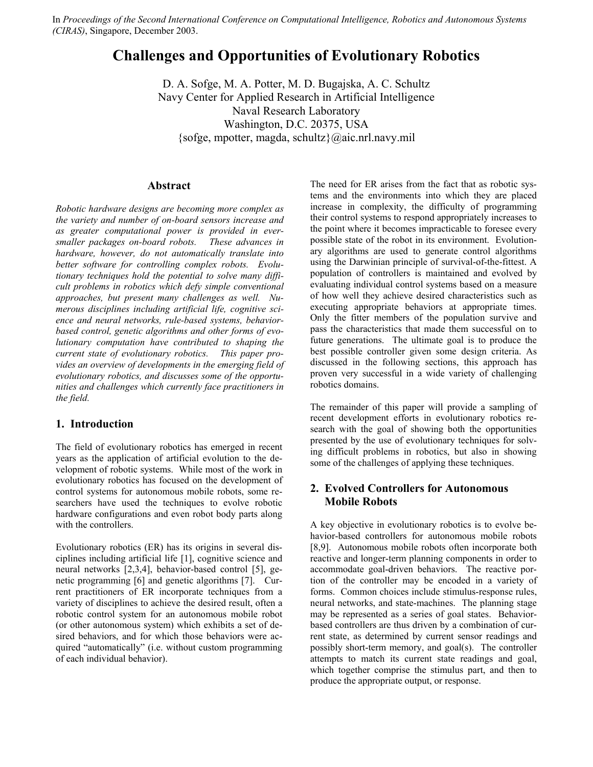In *Proceedings of the Second International Conference on Computational Intelligence, Robotics and Autonomous Systems (CIRAS)*, Singapore, December 2003.

# **Challenges and Opportunities of Evolutionary Robotics**

D. A. Sofge, M. A. Potter, M. D. Bugajska, A. C. Schultz Navy Center for Applied Research in Artificial Intelligence Naval Research Laboratory Washington, D.C. 20375, USA {sofge, mpotter, magda, schultz}@aic.nrl.navy.mil

## **Abstract**

*Robotic hardware designs are becoming more complex as the variety and number of on-board sensors increase and as greater computational power is provided in eversmaller packages on-board robots. These advances in hardware, however, do not automatically translate into better software for controlling complex robots. Evolutionary techniques hold the potential to solve many difficult problems in robotics which defy simple conventional approaches, but present many challenges as well. Numerous disciplines including artificial life, cognitive science and neural networks, rule-based systems, behaviorbased control, genetic algorithms and other forms of evolutionary computation have contributed to shaping the current state of evolutionary robotics. This paper provides an overview of developments in the emerging field of evolutionary robotics, and discusses some of the opportunities and challenges which currently face practitioners in the field.* 

## **1. Introduction**

The field of evolutionary robotics has emerged in recent years as the application of artificial evolution to the development of robotic systems. While most of the work in evolutionary robotics has focused on the development of control systems for autonomous mobile robots, some researchers have used the techniques to evolve robotic hardware configurations and even robot body parts along with the controllers.

Evolutionary robotics (ER) has its origins in several disciplines including artificial life [1], cognitive science and neural networks [2,3,4], behavior-based control [5], genetic programming [6] and genetic algorithms [7]. Current practitioners of ER incorporate techniques from a variety of disciplines to achieve the desired result, often a robotic control system for an autonomous mobile robot (or other autonomous system) which exhibits a set of desired behaviors, and for which those behaviors were acquired "automatically" (i.e. without custom programming of each individual behavior).

The need for ER arises from the fact that as robotic systems and the environments into which they are placed increase in complexity, the difficulty of programming their control systems to respond appropriately increases to the point where it becomes impracticable to foresee every possible state of the robot in its environment. Evolutionary algorithms are used to generate control algorithms using the Darwinian principle of survival-of-the-fittest. A population of controllers is maintained and evolved by evaluating individual control systems based on a measure of how well they achieve desired characteristics such as executing appropriate behaviors at appropriate times. Only the fitter members of the population survive and pass the characteristics that made them successful on to future generations. The ultimate goal is to produce the best possible controller given some design criteria. As discussed in the following sections, this approach has proven very successful in a wide variety of challenging robotics domains.

The remainder of this paper will provide a sampling of recent development efforts in evolutionary robotics research with the goal of showing both the opportunities presented by the use of evolutionary techniques for solving difficult problems in robotics, but also in showing some of the challenges of applying these techniques.

#### **2. Evolved Controllers for Autonomous Mobile Robots**

A key objective in evolutionary robotics is to evolve behavior-based controllers for autonomous mobile robots [8,9]. Autonomous mobile robots often incorporate both reactive and longer-term planning components in order to accommodate goal-driven behaviors. The reactive portion of the controller may be encoded in a variety of forms. Common choices include stimulus-response rules, neural networks, and state-machines. The planning stage may be represented as a series of goal states. Behaviorbased controllers are thus driven by a combination of current state, as determined by current sensor readings and possibly short-term memory, and goal(s). The controller attempts to match its current state readings and goal, which together comprise the stimulus part, and then to produce the appropriate output, or response.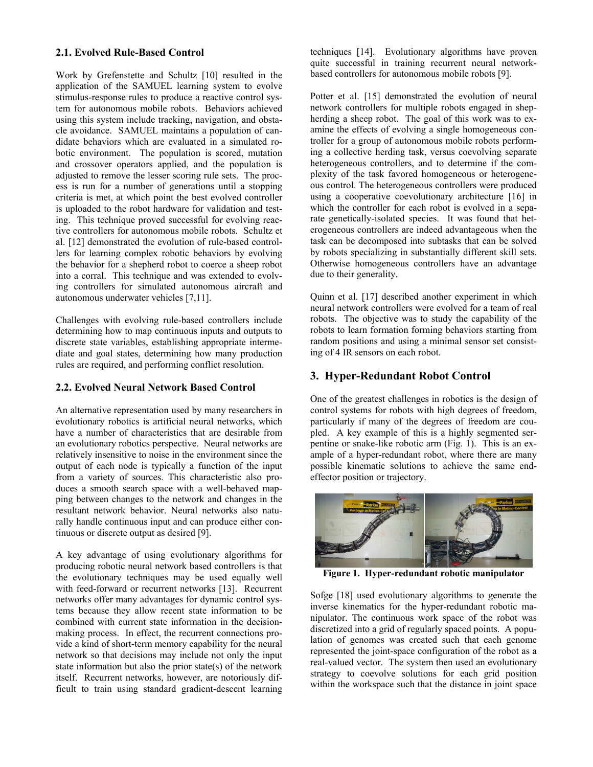#### **2.1. Evolved Rule-Based Control**

Work by Grefenstette and Schultz [10] resulted in the application of the SAMUEL learning system to evolve stimulus-response rules to produce a reactive control system for autonomous mobile robots. Behaviors achieved using this system include tracking, navigation, and obstacle avoidance. SAMUEL maintains a population of candidate behaviors which are evaluated in a simulated robotic environment. The population is scored, mutation and crossover operators applied, and the population is adjusted to remove the lesser scoring rule sets. The process is run for a number of generations until a stopping criteria is met, at which point the best evolved controller is uploaded to the robot hardware for validation and testing. This technique proved successful for evolving reactive controllers for autonomous mobile robots. Schultz et al. [12] demonstrated the evolution of rule-based controllers for learning complex robotic behaviors by evolving the behavior for a shepherd robot to coerce a sheep robot into a corral. This technique and was extended to evolving controllers for simulated autonomous aircraft and autonomous underwater vehicles [7,11].

Challenges with evolving rule-based controllers include determining how to map continuous inputs and outputs to discrete state variables, establishing appropriate intermediate and goal states, determining how many production rules are required, and performing conflict resolution.

#### **2.2. Evolved Neural Network Based Control**

An alternative representation used by many researchers in evolutionary robotics is artificial neural networks, which have a number of characteristics that are desirable from an evolutionary robotics perspective. Neural networks are relatively insensitive to noise in the environment since the output of each node is typically a function of the input from a variety of sources. This characteristic also produces a smooth search space with a well-behaved mapping between changes to the network and changes in the resultant network behavior. Neural networks also naturally handle continuous input and can produce either continuous or discrete output as desired [9].

A key advantage of using evolutionary algorithms for producing robotic neural network based controllers is that the evolutionary techniques may be used equally well with feed-forward or recurrent networks [13]. Recurrent networks offer many advantages for dynamic control systems because they allow recent state information to be combined with current state information in the decisionmaking process. In effect, the recurrent connections provide a kind of short-term memory capability for the neural network so that decisions may include not only the input state information but also the prior state(s) of the network itself. Recurrent networks, however, are notoriously difficult to train using standard gradient-descent learning

techniques [14]. Evolutionary algorithms have proven quite successful in training recurrent neural networkbased controllers for autonomous mobile robots [9].

Potter et al. [15] demonstrated the evolution of neural network controllers for multiple robots engaged in shepherding a sheep robot. The goal of this work was to examine the effects of evolving a single homogeneous controller for a group of autonomous mobile robots performing a collective herding task, versus coevolving separate heterogeneous controllers, and to determine if the complexity of the task favored homogeneous or heterogeneous control. The heterogeneous controllers were produced using a cooperative coevolutionary architecture [16] in which the controller for each robot is evolved in a separate genetically-isolated species. It was found that heterogeneous controllers are indeed advantageous when the task can be decomposed into subtasks that can be solved by robots specializing in substantially different skill sets. Otherwise homogeneous controllers have an advantage due to their generality.

Quinn et al. [17] described another experiment in which neural network controllers were evolved for a team of real robots. The objective was to study the capability of the robots to learn formation forming behaviors starting from random positions and using a minimal sensor set consisting of 4 IR sensors on each robot.

### **3. Hyper-Redundant Robot Control**

One of the greatest challenges in robotics is the design of control systems for robots with high degrees of freedom, particularly if many of the degrees of freedom are coupled. A key example of this is a highly segmented serpentine or snake-like robotic arm (Fig. 1). This is an example of a hyper-redundant robot, where there are many possible kinematic solutions to achieve the same endeffector position or trajectory.



**Figure 1. Hyper-redundant robotic manipulator** 

Sofge [18] used evolutionary algorithms to generate the inverse kinematics for the hyper-redundant robotic manipulator. The continuous work space of the robot was discretized into a grid of regularly spaced points. A population of genomes was created such that each genome represented the joint-space configuration of the robot as a real-valued vector. The system then used an evolutionary strategy to coevolve solutions for each grid position within the workspace such that the distance in joint space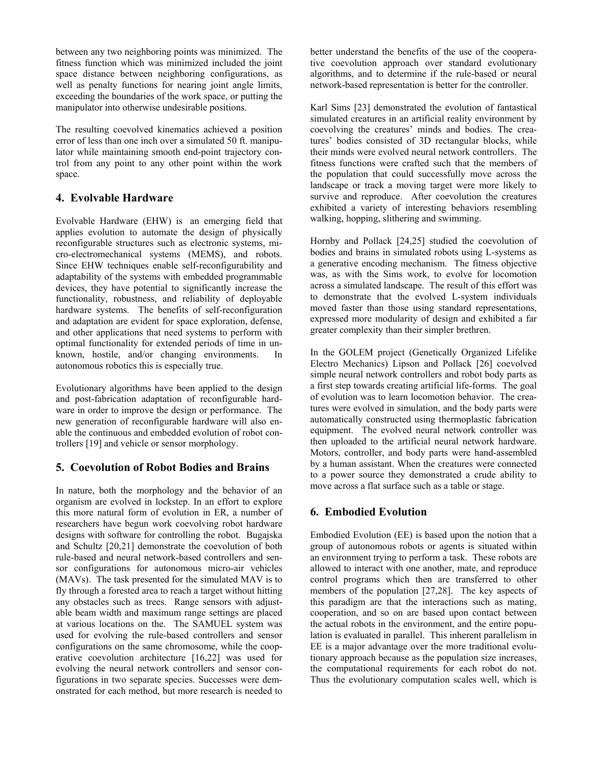between any two neighboring points was minimized. The fitness function which was minimized included the joint space distance between neighboring configurations, as well as penalty functions for nearing joint angle limits, exceeding the boundaries of the work space, or putting the manipulator into otherwise undesirable positions.

The resulting coevolved kinematics achieved a position error of less than one inch over a simulated 50 ft. manipulator while maintaining smooth end-point trajectory control from any point to any other point within the work space.

## **4. Evolvable Hardware**

Evolvable Hardware (EHW) is an emerging field that applies evolution to automate the design of physically reconfigurable structures such as electronic systems, micro-electromechanical systems (MEMS), and robots. Since EHW techniques enable self-reconfigurability and adaptability of the systems with embedded programmable devices, they have potential to significantly increase the functionality, robustness, and reliability of deployable hardware systems. The benefits of self-reconfiguration and adaptation are evident for space exploration, defense, and other applications that need systems to perform with optimal functionality for extended periods of time in unknown, hostile, and/or changing environments. In autonomous robotics this is especially true.

Evolutionary algorithms have been applied to the design and post-fabrication adaptation of reconfigurable hardware in order to improve the design or performance. The new generation of reconfigurable hardware will also enable the continuous and embedded evolution of robot controllers [19] and vehicle or sensor morphology.

# **5. Coevolution of Robot Bodies and Brains**

In nature, both the morphology and the behavior of an organism are evolved in lockstep. In an effort to explore this more natural form of evolution in ER, a number of researchers have begun work coevolving robot hardware designs with software for controlling the robot. Bugajska and Schultz [20,21] demonstrate the coevolution of both rule-based and neural network-based controllers and sensor configurations for autonomous micro-air vehicles (MAVs). The task presented for the simulated MAV is to fly through a forested area to reach a target without hitting any obstacles such as trees. Range sensors with adjustable beam width and maximum range settings are placed at various locations on the. The SAMUEL system was used for evolving the rule-based controllers and sensor configurations on the same chromosome, while the cooperative coevolution architecture [16,22] was used for evolving the neural network controllers and sensor configurations in two separate species. Successes were demonstrated for each method, but more research is needed to

better understand the benefits of the use of the cooperative coevolution approach over standard evolutionary algorithms, and to determine if the rule-based or neural network-based representation is better for the controller.

Karl Sims [23] demonstrated the evolution of fantastical simulated creatures in an artificial reality environment by coevolving the creatures' minds and bodies. The creatures' bodies consisted of 3D rectangular blocks, while their minds were evolved neural network controllers. The fitness functions were crafted such that the members of the population that could successfully move across the landscape or track a moving target were more likely to survive and reproduce. After coevolution the creatures exhibited a variety of interesting behaviors resembling walking, hopping, slithering and swimming.

Hornby and Pollack [24,25] studied the coevolution of bodies and brains in simulated robots using L-systems as a generative encoding mechanism. The fitness objective was, as with the Sims work, to evolve for locomotion across a simulated landscape. The result of this effort was to demonstrate that the evolved L-system individuals moved faster than those using standard representations, expressed more modularity of design and exhibited a far greater complexity than their simpler brethren.

In the GOLEM project (Genetically Organized Lifelike Electro Mechanics) Lipson and Pollack [26] coevolved simple neural network controllers and robot body parts as a first step towards creating artificial life-forms. The goal of evolution was to learn locomotion behavior. The creatures were evolved in simulation, and the body parts were automatically constructed using thermoplastic fabrication equipment. The evolved neural network controller was then uploaded to the artificial neural network hardware. Motors, controller, and body parts were hand-assembled by a human assistant. When the creatures were connected to a power source they demonstrated a crude ability to move across a flat surface such as a table or stage.

# **6. Embodied Evolution**

Embodied Evolution (EE) is based upon the notion that a group of autonomous robots or agents is situated within an environment trying to perform a task. These robots are allowed to interact with one another, mate, and reproduce control programs which then are transferred to other members of the population [27,28]. The key aspects of this paradigm are that the interactions such as mating, cooperation, and so on are based upon contact between the actual robots in the environment, and the entire population is evaluated in parallel. This inherent parallelism in EE is a major advantage over the more traditional evolutionary approach because as the population size increases, the computational requirements for each robot do not. Thus the evolutionary computation scales well, which is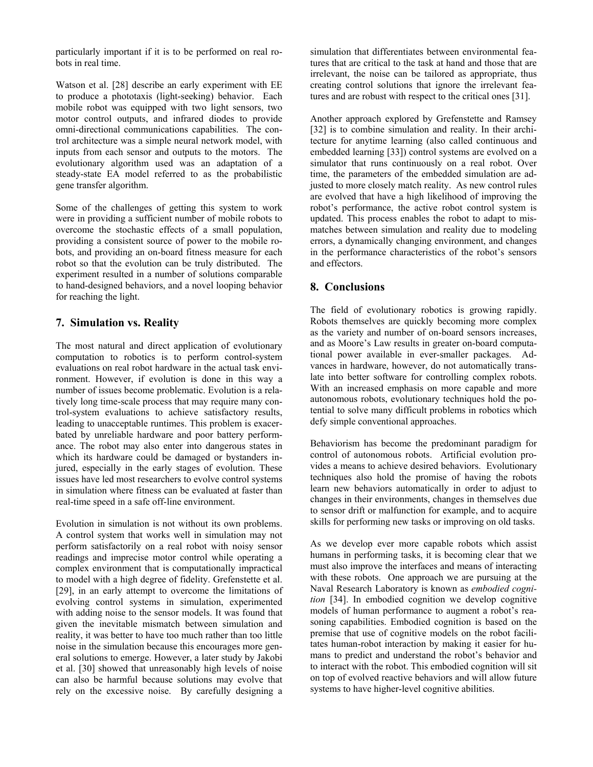particularly important if it is to be performed on real robots in real time.

Watson et al. [28] describe an early experiment with EE to produce a phototaxis (light-seeking) behavior. Each mobile robot was equipped with two light sensors, two motor control outputs, and infrared diodes to provide omni-directional communications capabilities. The control architecture was a simple neural network model, with inputs from each sensor and outputs to the motors. The evolutionary algorithm used was an adaptation of a steady-state EA model referred to as the probabilistic gene transfer algorithm.

Some of the challenges of getting this system to work were in providing a sufficient number of mobile robots to overcome the stochastic effects of a small population, providing a consistent source of power to the mobile robots, and providing an on-board fitness measure for each robot so that the evolution can be truly distributed. The experiment resulted in a number of solutions comparable to hand-designed behaviors, and a novel looping behavior for reaching the light.

## **7. Simulation vs. Reality**

The most natural and direct application of evolutionary computation to robotics is to perform control-system evaluations on real robot hardware in the actual task environment. However, if evolution is done in this way a number of issues become problematic. Evolution is a relatively long time-scale process that may require many control-system evaluations to achieve satisfactory results, leading to unacceptable runtimes. This problem is exacerbated by unreliable hardware and poor battery performance. The robot may also enter into dangerous states in which its hardware could be damaged or bystanders injured, especially in the early stages of evolution. These issues have led most researchers to evolve control systems in simulation where fitness can be evaluated at faster than real-time speed in a safe off-line environment.

Evolution in simulation is not without its own problems. A control system that works well in simulation may not perform satisfactorily on a real robot with noisy sensor readings and imprecise motor control while operating a complex environment that is computationally impractical to model with a high degree of fidelity. Grefenstette et al. [29], in an early attempt to overcome the limitations of evolving control systems in simulation, experimented with adding noise to the sensor models. It was found that given the inevitable mismatch between simulation and reality, it was better to have too much rather than too little noise in the simulation because this encourages more general solutions to emerge. However, a later study by Jakobi et al. [30] showed that unreasonably high levels of noise can also be harmful because solutions may evolve that rely on the excessive noise. By carefully designing a

simulation that differentiates between environmental features that are critical to the task at hand and those that are irrelevant, the noise can be tailored as appropriate, thus creating control solutions that ignore the irrelevant features and are robust with respect to the critical ones [31].

Another approach explored by Grefenstette and Ramsey [32] is to combine simulation and reality. In their architecture for anytime learning (also called continuous and embedded learning [33]) control systems are evolved on a simulator that runs continuously on a real robot. Over time, the parameters of the embedded simulation are adjusted to more closely match reality. As new control rules are evolved that have a high likelihood of improving the robot's performance, the active robot control system is updated. This process enables the robot to adapt to mismatches between simulation and reality due to modeling errors, a dynamically changing environment, and changes in the performance characteristics of the robot's sensors and effectors.

# **8. Conclusions**

The field of evolutionary robotics is growing rapidly. Robots themselves are quickly becoming more complex as the variety and number of on-board sensors increases, and as Moore's Law results in greater on-board computational power available in ever-smaller packages. Advances in hardware, however, do not automatically translate into better software for controlling complex robots. With an increased emphasis on more capable and more autonomous robots, evolutionary techniques hold the potential to solve many difficult problems in robotics which defy simple conventional approaches.

Behaviorism has become the predominant paradigm for control of autonomous robots. Artificial evolution provides a means to achieve desired behaviors. Evolutionary techniques also hold the promise of having the robots learn new behaviors automatically in order to adjust to changes in their environments, changes in themselves due to sensor drift or malfunction for example, and to acquire skills for performing new tasks or improving on old tasks.

As we develop ever more capable robots which assist humans in performing tasks, it is becoming clear that we must also improve the interfaces and means of interacting with these robots. One approach we are pursuing at the Naval Research Laboratory is known as *embodied cognition* [34]. In embodied cognition we develop cognitive models of human performance to augment a robot's reasoning capabilities. Embodied cognition is based on the premise that use of cognitive models on the robot facilitates human-robot interaction by making it easier for humans to predict and understand the robot's behavior and to interact with the robot. This embodied cognition will sit on top of evolved reactive behaviors and will allow future systems to have higher-level cognitive abilities.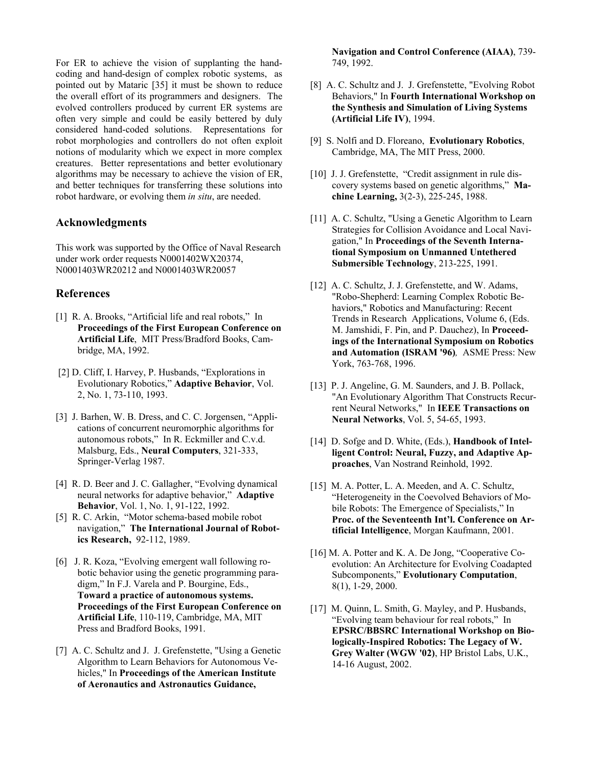For ER to achieve the vision of supplanting the handcoding and hand-design of complex robotic systems, as pointed out by Mataric [35] it must be shown to reduce the overall effort of its programmers and designers. The evolved controllers produced by current ER systems are often very simple and could be easily bettered by duly considered hand-coded solutions. Representations for robot morphologies and controllers do not often exploit notions of modularity which we expect in more complex creatures. Better representations and better evolutionary algorithms may be necessary to achieve the vision of ER, and better techniques for transferring these solutions into robot hardware, or evolving them *in situ*, are needed.

#### **Acknowledgments**

This work was supported by the Office of Naval Research under work order requests N0001402WX20374, N0001403WR20212 and N0001403WR20057

#### **References**

- [1] R. A. Brooks, "Artificial life and real robots," In **Proceedings of the First European Conference on Artificial Life**, MIT Press/Bradford Books, Cambridge, MA, 1992.
- [2] D. Cliff, I. Harvey, P. Husbands, "Explorations in Evolutionary Robotics," **Adaptive Behavior**, Vol. 2, No. 1, 73-110, 1993.
- [3] J. Barhen, W. B. Dress, and C. C. Jorgensen, "Applications of concurrent neuromorphic algorithms for autonomous robots," In R. Eckmiller and C.v.d. Malsburg, Eds., **Neural Computers**, 321-333, Springer-Verlag 1987.
- [4] R. D. Beer and J. C. Gallagher, "Evolving dynamical neural networks for adaptive behavior," **Adaptive Behavior**, Vol. 1, No. 1, 91-122, 1992.
- [5] R. C. Arkin, "Motor schema-based mobile robot navigation," **The International Journal of Robotics Research,** 92-112, 1989.
- [6] J. R. Koza, "Evolving emergent wall following robotic behavior using the genetic programming paradigm," In F.J. Varela and P. Bourgine, Eds., **Toward a practice of autonomous systems. Proceedings of the First European Conference on Artificial Life**, 110-119, Cambridge, MA, MIT Press and Bradford Books, 1991.
- [7] A. C. Schultz and J. J. Grefenstette, "Using a Genetic Algorithm to Learn Behaviors for Autonomous Vehicles," In **Proceedings of the American Institute of Aeronautics and Astronautics Guidance,**

**Navigation and Control Conference (AIAA)**, 739- 749, 1992.

- [8] A. C. Schultz and J. J. Grefenstette, "Evolving Robot Behaviors," In **Fourth International Workshop on the Synthesis and Simulation of Living Systems (Artificial Life IV)**, 1994.
- [9] S. Nolfi and D. Floreano, **Evolutionary Robotics**, Cambridge, MA, The MIT Press, 2000.
- [10] J. J. Grefenstette, "Credit assignment in rule discovery systems based on genetic algorithms," **Machine Learning,** 3(2-3), 225-245, 1988.
- [11] A. C. Schultz, "Using a Genetic Algorithm to Learn Strategies for Collision Avoidance and Local Navigation," In **Proceedings of the Seventh International Symposium on Unmanned Untethered Submersible Technology**, 213-225, 1991.
- [12] A. C. Schultz, J. J. Grefenstette, and W. Adams, "Robo-Shepherd: Learning Complex Robotic Behaviors," Robotics and Manufacturing: Recent Trends in Research Applications, Volume 6, (Eds. M. Jamshidi, F. Pin, and P. Dauchez), In **Proceedings of the International Symposium on Robotics and Automation (ISRAM '96)***,* ASME Press: New York, 763-768, 1996.
- [13] P. J. Angeline, G. M. Saunders, and J. B. Pollack, "An Evolutionary Algorithm That Constructs Recurrent Neural Networks," In **IEEE Transactions on Neural Networks**, Vol. 5, 54-65, 1993.
- [14] D. Sofge and D. White, (Eds.), **Handbook of Intelligent Control: Neural, Fuzzy, and Adaptive Approaches**, Van Nostrand Reinhold, 1992.
- [15] M. A. Potter, L. A. Meeden, and A. C. Schultz, "Heterogeneity in the Coevolved Behaviors of Mobile Robots: The Emergence of Specialists," In **Proc. of the Seventeenth Int'l. Conference on Artificial Intelligence**, Morgan Kaufmann, 2001.
- [16] M. A. Potter and K. A. De Jong, "Cooperative Coevolution: An Architecture for Evolving Coadapted Subcomponents," **Evolutionary Computation**, 8(1), 1-29, 2000.
- [17] M. Quinn, L. Smith, G. Mayley, and P. Husbands, "Evolving team behaviour for real robots," In **EPSRC/BBSRC International Workshop on Biologically-Inspired Robotics: The Legacy of W. Grey Walter (WGW '02)**, HP Bristol Labs, U.K., 14-16 August, 2002.